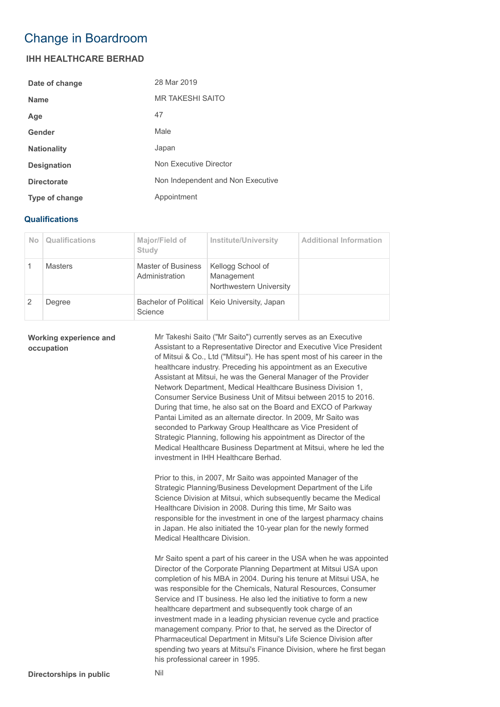## Change in Boardroom

## **IHH HEALTHCARE BERHAD**

| Date of change     | 28 Mar 2019                       |
|--------------------|-----------------------------------|
| <b>Name</b>        | <b>MR TAKESHI SAITO</b>           |
| Age                | 47                                |
| Gender             | Male                              |
| <b>Nationality</b> | Japan                             |
| <b>Designation</b> | Non Executive Director            |
| <b>Directorate</b> | Non Independent and Non Executive |
| Type of change     | Appointment                       |

## **Qualifications**

| N <sub>o</sub> | Qualifications | Major/Field of<br>Study              | <b>Institute/University</b>                                | <b>Additional Information</b> |
|----------------|----------------|--------------------------------------|------------------------------------------------------------|-------------------------------|
|                | <b>Masters</b> | Master of Business<br>Administration | Kellogg School of<br>Management<br>Northwestern University |                               |
|                | Degree         | Science                              | Bachelor of Political   Keio University, Japan             |                               |

## **Working experience and occupation**

Mr Takeshi Saito ("Mr Saito") currently serves as an Executive Assistant to a Representative Director and Executive Vice President of Mitsui & Co., Ltd ("Mitsui"). He has spent most of his career in the healthcare industry. Preceding his appointment as an Executive Assistant at Mitsui, he was the General Manager of the Provider Network Department, Medical Healthcare Business Division 1, Consumer Service Business Unit of Mitsui between 2015 to 2016. During that time, he also sat on the Board and EXCO of Parkway Pantai Limited as an alternate director. In 2009, Mr Saito was seconded to Parkway Group Healthcare as Vice President of Strategic Planning, following his appointment as Director of the Medical Healthcare Business Department at Mitsui, where he led the investment in IHH Healthcare Berhad.

Prior to this, in 2007, Mr Saito was appointed Manager of the Strategic Planning/Business Development Department of the Life Science Division at Mitsui, which subsequently became the Medical Healthcare Division in 2008. During this time, Mr Saito was responsible for the investment in one of the largest pharmacy chains in Japan. He also initiated the 10-year plan for the newly formed Medical Healthcare Division.

Mr Saito spent a part of his career in the USA when he was appointed Director of the Corporate Planning Department at Mitsui USA upon completion of his MBA in 2004. During his tenure at Mitsui USA, he was responsible for the Chemicals, Natural Resources, Consumer Service and IT business. He also led the initiative to form a new healthcare department and subsequently took charge of an investment made in a leading physician revenue cycle and practice management company. Prior to that, he served as the Director of Pharmaceutical Department in Mitsui's Life Science Division after spending two years at Mitsui's Finance Division, where he first began his professional career in 1995.